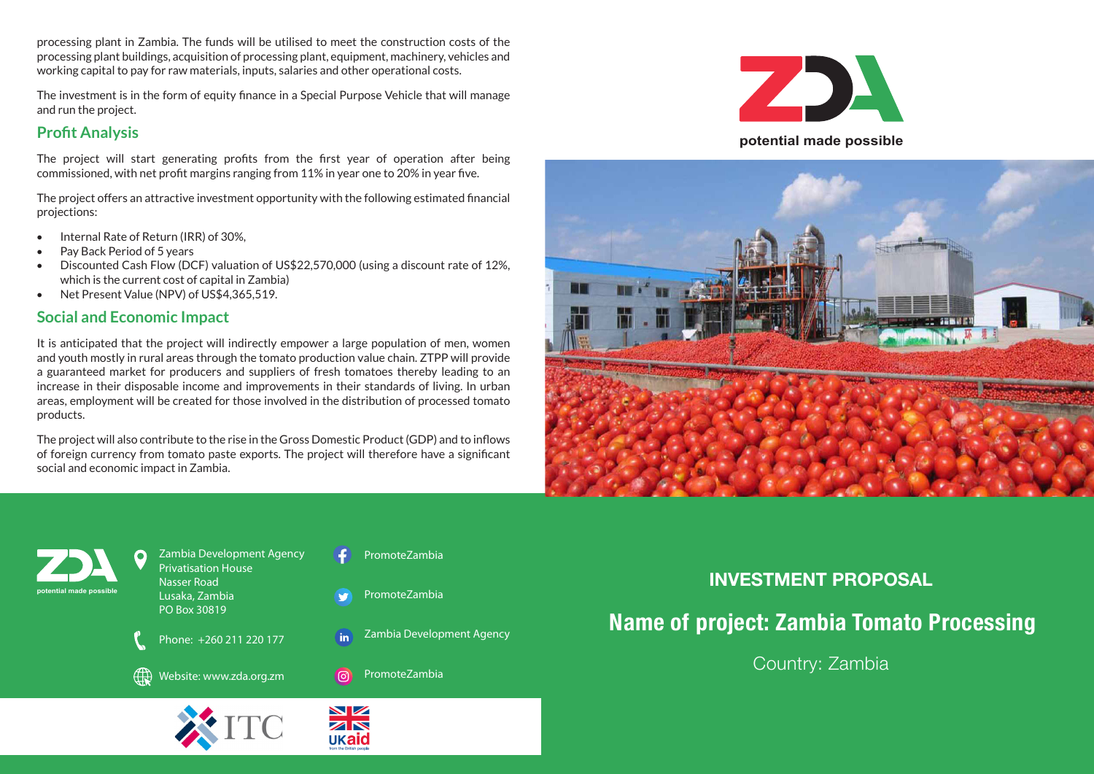processing plant in Zambia. The funds will be utilised to meet the construction costs of the processing plant buildings, acquisition of processing plant, equipment, machinery, vehicles and working capital to pay for raw materials, inputs, salaries and other operational costs.

The investment is in the form of equity finance in a Special Purpose Vehicle that will manage and run the project.

## **Profit Analysis**

The project will start generating profits from the first year of operation after being commissioned, with net profit margins ranging from 11% in year one to 20% in year five.

The project offers an attractive investment opportunity with the following estimated financial projections:

- • Internal Rate of Return (IRR) of 30%,
- • Pay Back Period of 5 years
- Discounted Cash Flow (DCF) valuation of US\$22,570,000 (using a discount rate of 12%, which is the current cost of capital in Zambia)
- Net Present Value (NPV) of US\$4,365,519.

## **Social and Economic Impact**

It is anticipated that the project will indirectly empower a large population of men, women and youth mostly in rural areas through the tomato production value chain. ZTPP will provide a guaranteed market for producers and suppliers of fresh tomatoes thereby leading to an increase in their disposable income and improvements in their standards of living. In urban areas, employment will be created for those involved in the distribution of processed tomato products.

The project will also contribute to the rise in the Gross Domestic Product (GDP) and to inflows of foreign currency from tomato paste exports. The project will therefore have a significant social and economic impact in Zambia.







# **INVESTMENT PROPOSAL**

# **Name of project: Zambia Tomato Processing**

Country: Zambia